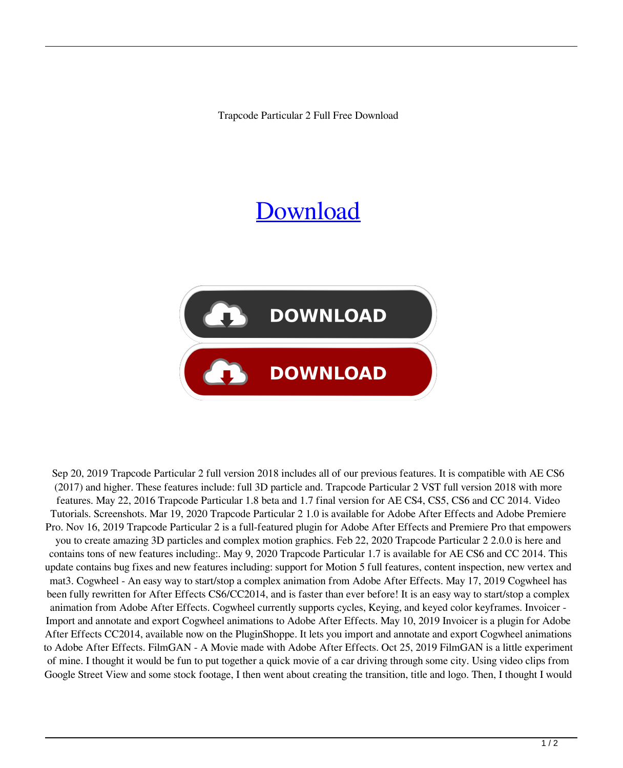Trapcode Particular 2 Full Free Download

## **[Download](http://evacdir.com/amunition/dHJhcGNvZGUgcGFydGljdWxhciAyIGZ1bGwgZnJlZSBkb3dubG9hZAdHJ/deloach?ZG93bmxvYWR8bDdiTW5KdU1ueDhNVFkxTWpjME1EZzJObng4TWpVM05IeDhLRTBwSUhKbFlXUXRZbXh2WnlCYlJtRnpkQ0JIUlU1ZA=grocers&unhabitable=&multibillion=lampang)**



Sep 20, 2019 Trapcode Particular 2 full version 2018 includes all of our previous features. It is compatible with AE CS6 (2017) and higher. These features include: full 3D particle and. Trapcode Particular 2 VST full version 2018 with more features. May 22, 2016 Trapcode Particular 1.8 beta and 1.7 final version for AE CS4, CS5, CS6 and CC 2014. Video Tutorials. Screenshots. Mar 19, 2020 Trapcode Particular 2 1.0 is available for Adobe After Effects and Adobe Premiere Pro. Nov 16, 2019 Trapcode Particular 2 is a full-featured plugin for Adobe After Effects and Premiere Pro that empowers you to create amazing 3D particles and complex motion graphics. Feb 22, 2020 Trapcode Particular 2 2.0.0 is here and contains tons of new features including:. May 9, 2020 Trapcode Particular 1.7 is available for AE CS6 and CC 2014. This update contains bug fixes and new features including: support for Motion 5 full features, content inspection, new vertex and mat3. Cogwheel - An easy way to start/stop a complex animation from Adobe After Effects. May 17, 2019 Cogwheel has been fully rewritten for After Effects CS6/CC2014, and is faster than ever before! It is an easy way to start/stop a complex animation from Adobe After Effects. Cogwheel currently supports cycles, Keying, and keyed color keyframes. Invoicer - Import and annotate and export Cogwheel animations to Adobe After Effects. May 10, 2019 Invoicer is a plugin for Adobe After Effects CC2014, available now on the PluginShoppe. It lets you import and annotate and export Cogwheel animations to Adobe After Effects. FilmGAN - A Movie made with Adobe After Effects. Oct 25, 2019 FilmGAN is a little experiment of mine. I thought it would be fun to put together a quick movie of a car driving through some city. Using video clips from Google Street View and some stock footage, I then went about creating the transition, title and logo. Then, I thought I would